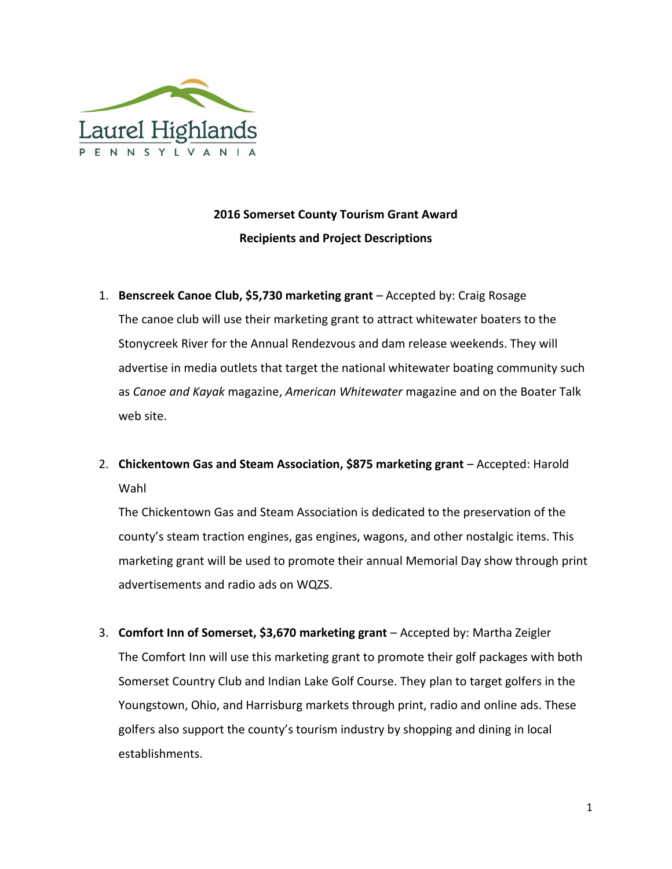

## **2016 Somerset County Tourism Grant Award Recipients and Project Descriptions**

- 1. **Benscreek Canoe Club, \$5,730 marketing grant** Accepted by: Craig Rosage The canoe club will use their marketing grant to attract whitewater boaters to the Stonycreek River for the Annual Rendezvous and dam release weekends. They will advertise in media outlets that target the national whitewater boating community such as *Canoe and Kayak* magazine, *American Whitewater* magazine and on the Boater Talk web site.
- 2. **Chickentown Gas and Steam Association, \$875 marketing grant** Accepted: Harold Wahl

The Chickentown Gas and Steam Association is dedicated to the preservation of the county's steam traction engines, gas engines, wagons, and other nostalgic items. This marketing grant will be used to promote their annual Memorial Day show through print advertisements and radio ads on WQZS.

3. **Comfort Inn of Somerset, \$3,670 marketing grant** – Accepted by: Martha Zeigler The Comfort Inn will use this marketing grant to promote their golf packages with both Somerset Country Club and Indian Lake Golf Course. They plan to target golfers in the Youngstown, Ohio, and Harrisburg markets through print, radio and online ads. These golfers also support the county's tourism industry by shopping and dining in local establishments.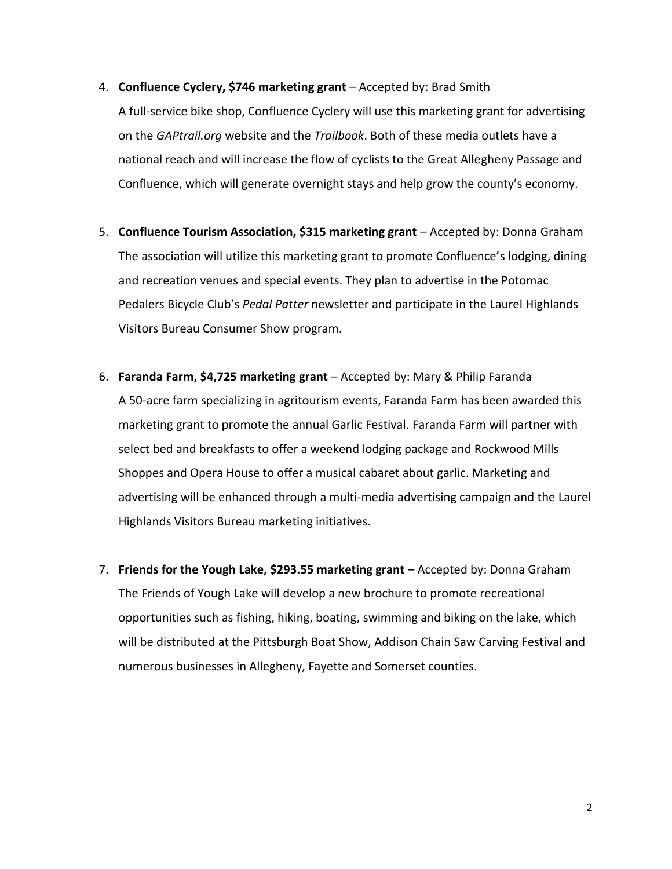4. **Confluence Cyclery, \$746 marketing grant** – Accepted by: Brad Smith

A full-service bike shop, Confluence Cyclery will use this marketing grant for advertising on the *GAPtrail.org* website and the *Trailbook*. Both of these media outlets have a national reach and will increase the flow of cyclists to the Great Allegheny Passage and Confluence, which will generate overnight stays and help grow the county's economy.

- 5. **Confluence Tourism Association, \$315 marketing grant** Accepted by: Donna Graham The association will utilize this marketing grant to promote Confluence's lodging, dining and recreation venues and special events. They plan to advertise in the Potomac Pedalers Bicycle Club's *Pedal Patter* newsletter and participate in the Laurel Highlands Visitors Bureau Consumer Show program.
- 6. **Faranda Farm, \$4,725 marketing grant** Accepted by: Mary & Philip Faranda A 50-acre farm specializing in agritourism events, Faranda Farm has been awarded this marketing grant to promote the annual Garlic Festival. Faranda Farm will partner with select bed and breakfasts to offer a weekend lodging package and Rockwood Mills Shoppes and Opera House to offer a musical cabaret about garlic. Marketing and advertising will be enhanced through a multi-media advertising campaign and the Laurel Highlands Visitors Bureau marketing initiatives.
- 7. **Friends for the Yough Lake, \$293.55 marketing grant** Accepted by: Donna Graham The Friends of Yough Lake will develop a new brochure to promote recreational opportunities such as fishing, hiking, boating, swimming and biking on the lake, which will be distributed at the Pittsburgh Boat Show, Addison Chain Saw Carving Festival and numerous businesses in Allegheny, Fayette and Somerset counties.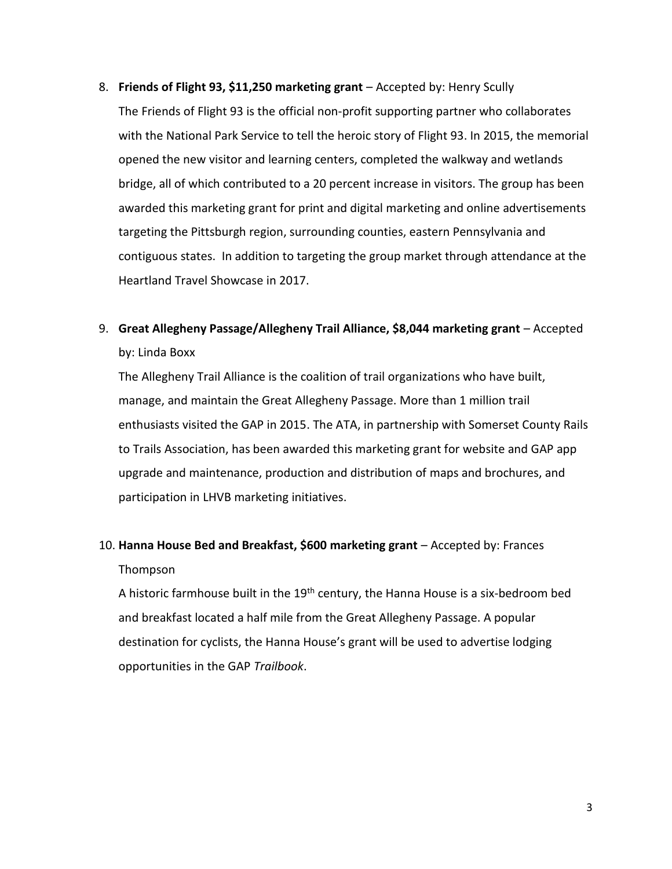- 8. **Friends of Flight 93, \$11,250 marketing grant** Accepted by: Henry Scully The Friends of Flight 93 is the official non-profit supporting partner who collaborates with the National Park Service to tell the heroic story of Flight 93. In 2015, the memorial opened the new visitor and learning centers, completed the walkway and wetlands bridge, all of which contributed to a 20 percent increase in visitors. The group has been awarded this marketing grant for print and digital marketing and online advertisements targeting the Pittsburgh region, surrounding counties, eastern Pennsylvania and contiguous states. In addition to targeting the group market through attendance at the Heartland Travel Showcase in 2017.
- 9. **Great Allegheny Passage/Allegheny Trail Alliance, \$8,044 marketing grant** Accepted by: Linda Boxx

The Allegheny Trail Alliance is the coalition of trail organizations who have built, manage, and maintain the Great Allegheny Passage. More than 1 million trail enthusiasts visited the GAP in 2015. The ATA, in partnership with Somerset County Rails to Trails Association, has been awarded this marketing grant for website and GAP app upgrade and maintenance, production and distribution of maps and brochures, and participation in LHVB marketing initiatives.

## 10. **Hanna House Bed and Breakfast, \$600 marketing grant** – Accepted by: Frances Thompson

A historic farmhouse built in the  $19<sup>th</sup>$  century, the Hanna House is a six-bedroom bed and breakfast located a half mile from the Great Allegheny Passage. A popular destination for cyclists, the Hanna House's grant will be used to advertise lodging opportunities in the GAP *Trailbook*.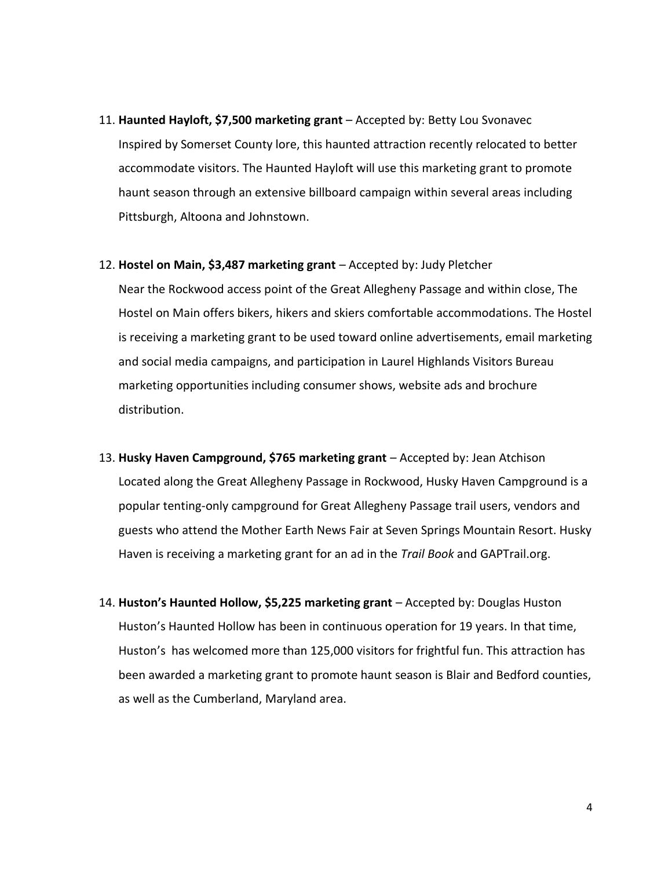- 11. **Haunted Hayloft, \$7,500 marketing grant** Accepted by: Betty Lou Svonavec Inspired by Somerset County lore, this haunted attraction recently relocated to better accommodate visitors. The Haunted Hayloft will use this marketing grant to promote haunt season through an extensive billboard campaign within several areas including Pittsburgh, Altoona and Johnstown.
- 12. **Hostel on Main, \$3,487 marketing grant** Accepted by: Judy Pletcher

Near the Rockwood access point of the Great Allegheny Passage and within close, The Hostel on Main offers bikers, hikers and skiers comfortable accommodations. The Hostel is receiving a marketing grant to be used toward online advertisements, email marketing and social media campaigns, and participation in Laurel Highlands Visitors Bureau marketing opportunities including consumer shows, website ads and brochure distribution.

- 13. **Husky Haven Campground, \$765 marketing grant** Accepted by: Jean Atchison Located along the Great Allegheny Passage in Rockwood, Husky Haven Campground is a popular tenting-only campground for Great Allegheny Passage trail users, vendors and guests who attend the Mother Earth News Fair at Seven Springs Mountain Resort. Husky Haven is receiving a marketing grant for an ad in the *Trail Book* and GAPTrail.org.
- 14. **Huston's Haunted Hollow, \$5,225 marketing grant** Accepted by: Douglas Huston Huston's Haunted Hollow has been in continuous operation for 19 years. In that time, Huston's has welcomed more than 125,000 visitors for frightful fun. This attraction has been awarded a marketing grant to promote haunt season is Blair and Bedford counties, as well as the Cumberland, Maryland area.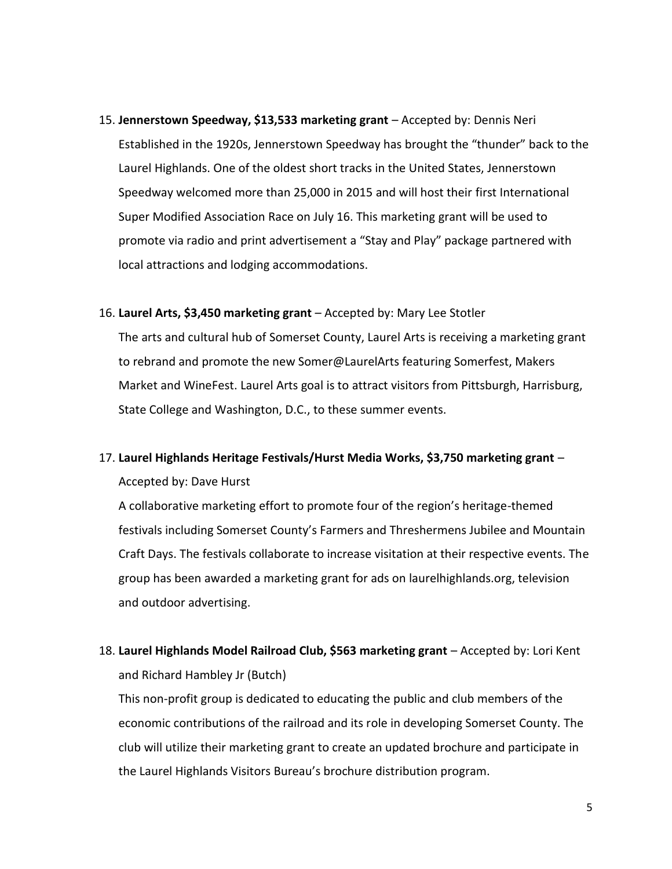- 15. **Jennerstown Speedway, \$13,533 marketing grant** Accepted by: Dennis Neri Established in the 1920s, Jennerstown Speedway has brought the "thunder" back to the Laurel Highlands. One of the oldest short tracks in the United States, Jennerstown Speedway welcomed more than 25,000 in 2015 and will host their first International Super Modified Association Race on July 16. This marketing grant will be used to promote via radio and print advertisement a "Stay and Play" package partnered with local attractions and lodging accommodations.
- 16. **Laurel Arts, \$3,450 marketing grant** Accepted by: Mary Lee Stotler

The arts and cultural hub of Somerset County, Laurel Arts is receiving a marketing grant to rebrand and promote the new Somer@LaurelArts featuring Somerfest, Makers Market and WineFest. Laurel Arts goal is to attract visitors from Pittsburgh, Harrisburg, State College and Washington, D.C., to these summer events.

#### 17. **Laurel Highlands Heritage Festivals/Hurst Media Works, \$3,750 marketing grant** –

Accepted by: Dave Hurst

A collaborative marketing effort to promote four of the region's heritage-themed festivals including Somerset County's Farmers and Threshermens Jubilee and Mountain Craft Days. The festivals collaborate to increase visitation at their respective events. The group has been awarded a marketing grant for ads on laurelhighlands.org, television and outdoor advertising.

18. **Laurel Highlands Model Railroad Club, \$563 marketing grant** – Accepted by: Lori Kent and Richard Hambley Jr (Butch)

This non-profit group is dedicated to educating the public and club members of the economic contributions of the railroad and its role in developing Somerset County. The club will utilize their marketing grant to create an updated brochure and participate in the Laurel Highlands Visitors Bureau's brochure distribution program.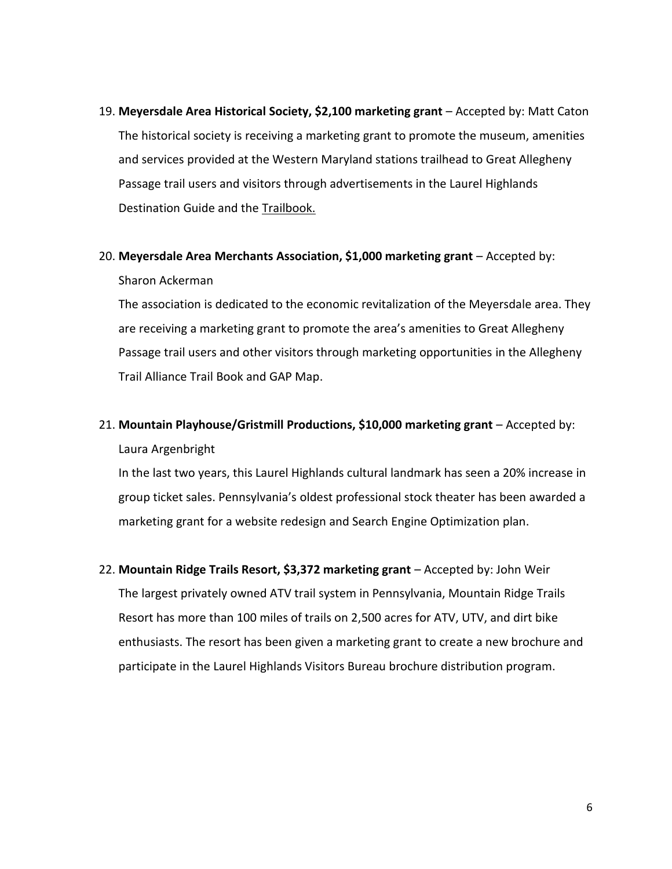- 19. **Meyersdale Area Historical Society, \$2,100 marketing grant** Accepted by: Matt Caton The historical society is receiving a marketing grant to promote the museum, amenities and services provided at the Western Maryland stations trailhead to Great Allegheny Passage trail users and visitors through advertisements in the Laurel Highlands Destination Guide and the Trailbook.
- 20. **Meyersdale Area Merchants Association, \$1,000 marketing grant** Accepted by: Sharon Ackerman

The association is dedicated to the economic revitalization of the Meyersdale area. They are receiving a marketing grant to promote the area's amenities to Great Allegheny Passage trail users and other visitors through marketing opportunities in the Allegheny Trail Alliance Trail Book and GAP Map.

### 21. **Mountain Playhouse/Gristmill Productions, \$10,000 marketing grant** – Accepted by: Laura Argenbright

In the last two years, this Laurel Highlands cultural landmark has seen a 20% increase in group ticket sales. Pennsylvania's oldest professional stock theater has been awarded a marketing grant for a website redesign and Search Engine Optimization plan.

22. **Mountain Ridge Trails Resort, \$3,372 marketing grant** – Accepted by: John Weir The largest privately owned ATV trail system in Pennsylvania, Mountain Ridge Trails Resort has more than 100 miles of trails on 2,500 acres for ATV, UTV, and dirt bike enthusiasts. The resort has been given a marketing grant to create a new brochure and participate in the Laurel Highlands Visitors Bureau brochure distribution program.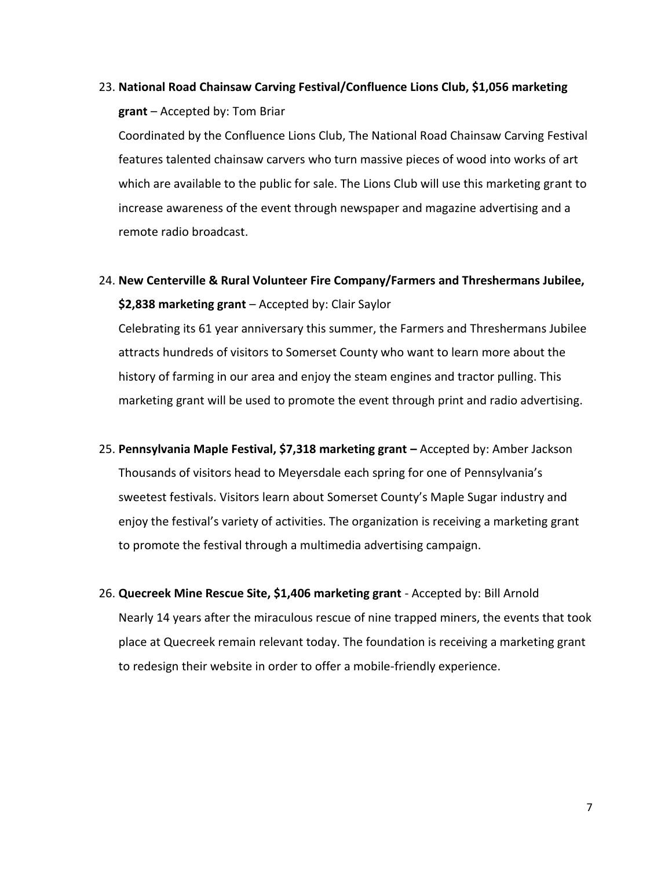# 23. **National Road Chainsaw Carving Festival/Confluence Lions Club, \$1,056 marketing grant** – Accepted by: Tom Briar

Coordinated by the Confluence Lions Club, The National Road Chainsaw Carving Festival features talented chainsaw carvers who turn massive pieces of wood into works of art which are available to the public for sale. The Lions Club will use this marketing grant to increase awareness of the event through newspaper and magazine advertising and a remote radio broadcast.

## 24. **New Centerville & Rural Volunteer Fire Company/Farmers and Threshermans Jubilee, \$2,838 marketing grant** – Accepted by: Clair Saylor

Celebrating its 61 year anniversary this summer, the Farmers and Threshermans Jubilee attracts hundreds of visitors to Somerset County who want to learn more about the history of farming in our area and enjoy the steam engines and tractor pulling. This marketing grant will be used to promote the event through print and radio advertising.

- 25. **Pennsylvania Maple Festival, \$7,318 marketing grant –** Accepted by: Amber Jackson Thousands of visitors head to Meyersdale each spring for one of Pennsylvania's sweetest festivals. Visitors learn about Somerset County's Maple Sugar industry and enjoy the festival's variety of activities. The organization is receiving a marketing grant to promote the festival through a multimedia advertising campaign.
- 26. **Quecreek Mine Rescue Site, \$1,406 marketing grant** Accepted by: Bill Arnold Nearly 14 years after the miraculous rescue of nine trapped miners, the events that took place at Quecreek remain relevant today. The foundation is receiving a marketing grant to redesign their website in order to offer a mobile-friendly experience.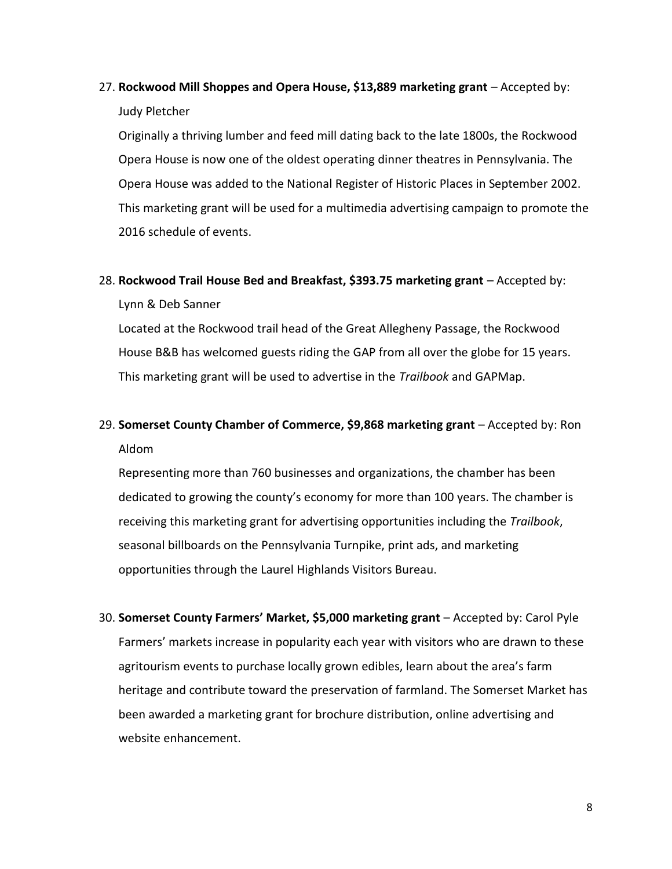## 27. **Rockwood Mill Shoppes and Opera House, \$13,889 marketing grant** – Accepted by: Judy Pletcher

Originally a thriving lumber and feed mill dating back to the late 1800s, the Rockwood Opera House is now one of the oldest operating dinner theatres in Pennsylvania. The Opera House was added to the National Register of Historic Places in September 2002. This marketing grant will be used for a multimedia advertising campaign to promote the 2016 schedule of events.

### 28. **Rockwood Trail House Bed and Breakfast, \$393.75 marketing grant** – Accepted by: Lynn & Deb Sanner

Located at the Rockwood trail head of the Great Allegheny Passage, the Rockwood House B&B has welcomed guests riding the GAP from all over the globe for 15 years. This marketing grant will be used to advertise in the *Trailbook* and GAPMap.

## 29. **Somerset County Chamber of Commerce, \$9,868 marketing grant** – Accepted by: Ron Aldom

Representing more than 760 businesses and organizations, the chamber has been dedicated to growing the county's economy for more than 100 years. The chamber is receiving this marketing grant for advertising opportunities including the *Trailbook*, seasonal billboards on the Pennsylvania Turnpike, print ads, and marketing opportunities through the Laurel Highlands Visitors Bureau.

30. **Somerset County Farmers' Market, \$5,000 marketing grant** – Accepted by: Carol Pyle Farmers' markets increase in popularity each year with visitors who are drawn to these agritourism events to purchase locally grown edibles, learn about the area's farm heritage and contribute toward the preservation of farmland. The Somerset Market has been awarded a marketing grant for brochure distribution, online advertising and website enhancement.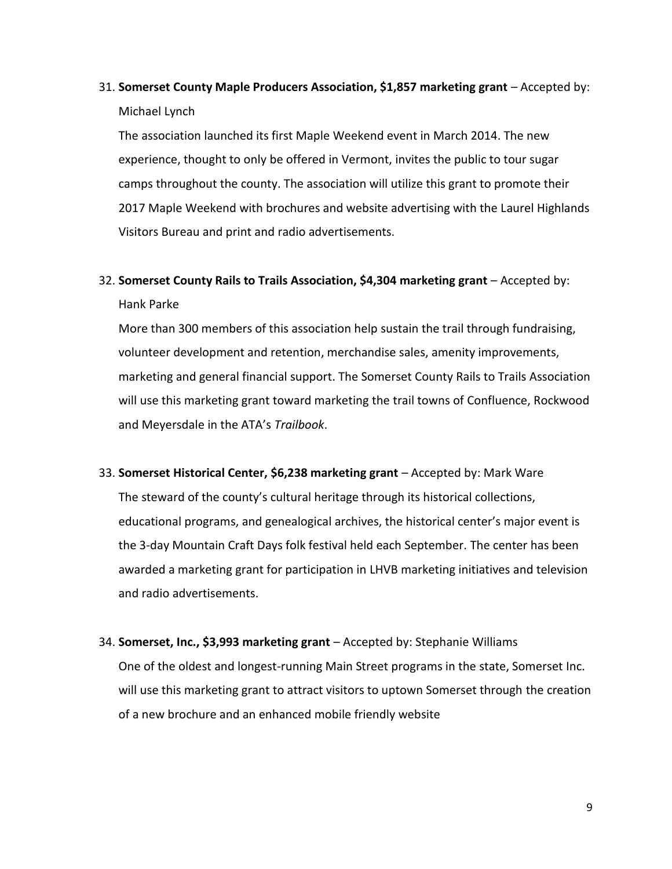31. **Somerset County Maple Producers Association, \$1,857 marketing grant** – Accepted by: Michael Lynch

The association launched its first Maple Weekend event in March 2014. The new experience, thought to only be offered in Vermont, invites the public to tour sugar camps throughout the county. The association will utilize this grant to promote their 2017 Maple Weekend with brochures and website advertising with the Laurel Highlands Visitors Bureau and print and radio advertisements.

32. **Somerset County Rails to Trails Association, \$4,304 marketing grant** – Accepted by: Hank Parke

More than 300 members of this association help sustain the trail through fundraising, volunteer development and retention, merchandise sales, amenity improvements, marketing and general financial support. The Somerset County Rails to Trails Association will use this marketing grant toward marketing the trail towns of Confluence, Rockwood and Meyersdale in the ATA's *Trailbook*.

33. **Somerset Historical Center, \$6,238 marketing grant** – Accepted by: Mark Ware The steward of the county's cultural heritage through its historical collections, educational programs, and genealogical archives, the historical center's major event is the 3-day Mountain Craft Days folk festival held each September. The center has been

awarded a marketing grant for participation in LHVB marketing initiatives and television and radio advertisements.

34. **Somerset, Inc., \$3,993 marketing grant** – Accepted by: Stephanie Williams One of the oldest and longest-running Main Street programs in the state, Somerset Inc. will use this marketing grant to attract visitors to uptown Somerset through the creation of a new brochure and an enhanced mobile friendly website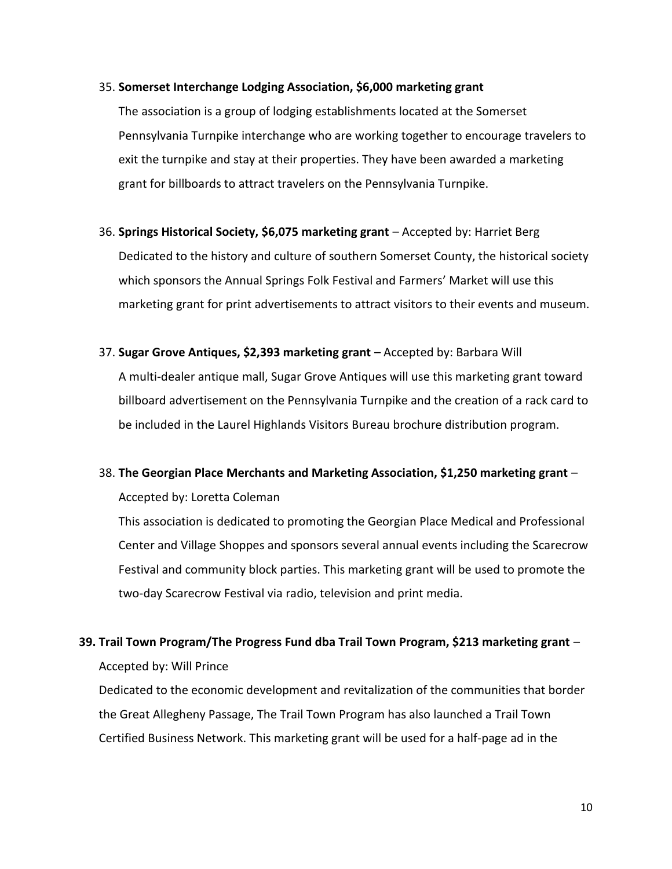#### 35. **Somerset Interchange Lodging Association, \$6,000 marketing grant**

The association is a group of lodging establishments located at the Somerset Pennsylvania Turnpike interchange who are working together to encourage travelers to exit the turnpike and stay at their properties. They have been awarded a marketing grant for billboards to attract travelers on the Pennsylvania Turnpike.

- 36. **Springs Historical Society, \$6,075 marketing grant** Accepted by: Harriet Berg Dedicated to the history and culture of southern Somerset County, the historical society which sponsors the Annual Springs Folk Festival and Farmers' Market will use this marketing grant for print advertisements to attract visitors to their events and museum.
- 37. **Sugar Grove Antiques, \$2,393 marketing grant** Accepted by: Barbara Will A multi-dealer antique mall, Sugar Grove Antiques will use this marketing grant toward billboard advertisement on the Pennsylvania Turnpike and the creation of a rack card to be included in the Laurel Highlands Visitors Bureau brochure distribution program.

## 38. **The Georgian Place Merchants and Marketing Association, \$1,250 marketing grant** – Accepted by: Loretta Coleman

This association is dedicated to promoting the Georgian Place Medical and Professional Center and Village Shoppes and sponsors several annual events including the Scarecrow Festival and community block parties. This marketing grant will be used to promote the two-day Scarecrow Festival via radio, television and print media.

### **39. Trail Town Program/The Progress Fund dba Trail Town Program, \$213 marketing grant** – Accepted by: Will Prince

Dedicated to the economic development and revitalization of the communities that border the Great Allegheny Passage, The Trail Town Program has also launched a Trail Town Certified Business Network. This marketing grant will be used for a half-page ad in the